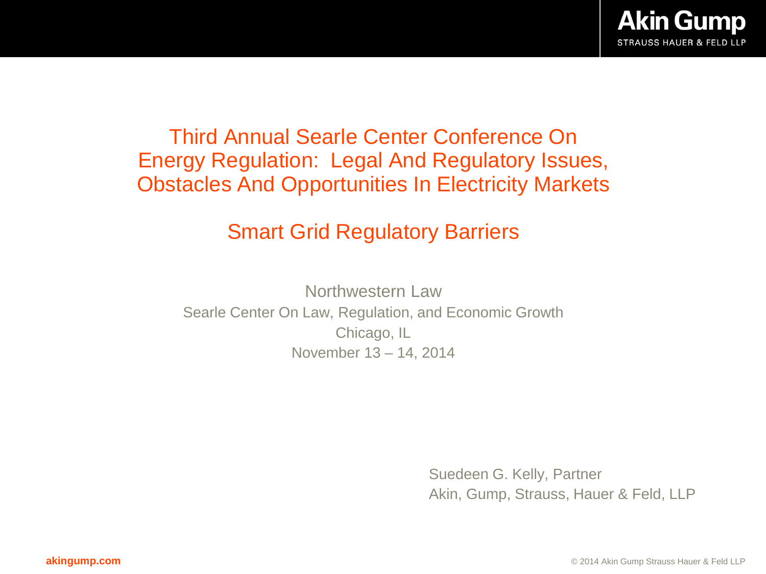### Third Annual Searle Center Conference On Energy Regulation: Legal And Regulatory Issues, Obstacles And Opportunities In Electricity Markets

## Smart Grid Regulatory Barriers

Northwestern Law Searle Center On Law, Regulation, and Economic Growth Chicago, IL November 13 – 14, 2014

> Suedeen G. Kelly, Partner Akin, Gump, Strauss, Hauer & Feld, LLP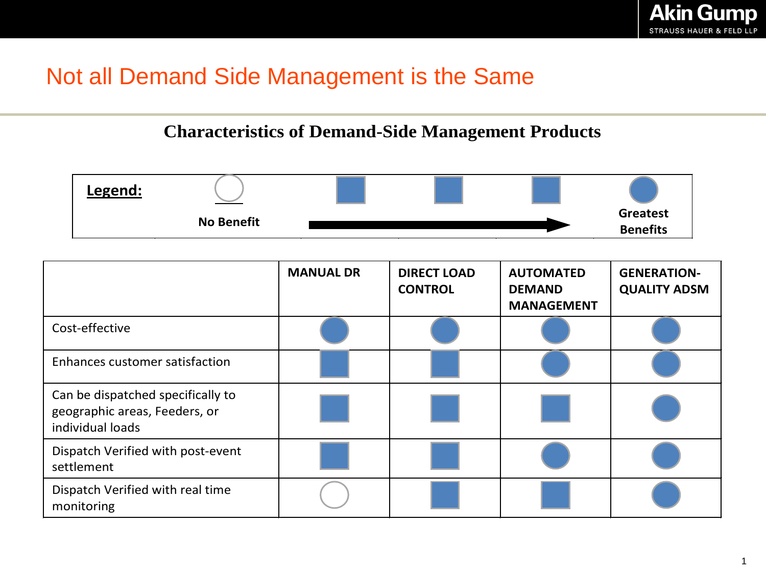# Not all Demand Side Management is the Same

#### **Characteristics of Demand-Side Management Products**



|                                                                                        | <b>MANUAL DR</b> | <b>DIRECT LOAD</b><br><b>CONTROL</b> | <b>AUTOMATED</b><br><b>DEMAND</b><br><b>MANAGEMENT</b> | <b>GENERATION-</b><br><b>QUALITY ADSM</b> |
|----------------------------------------------------------------------------------------|------------------|--------------------------------------|--------------------------------------------------------|-------------------------------------------|
| Cost-effective                                                                         |                  |                                      |                                                        |                                           |
| Enhances customer satisfaction                                                         |                  |                                      |                                                        |                                           |
| Can be dispatched specifically to<br>geographic areas, Feeders, or<br>individual loads |                  |                                      |                                                        |                                           |
| Dispatch Verified with post-event<br>settlement                                        |                  |                                      |                                                        |                                           |
| Dispatch Verified with real time<br>monitoring                                         |                  |                                      |                                                        |                                           |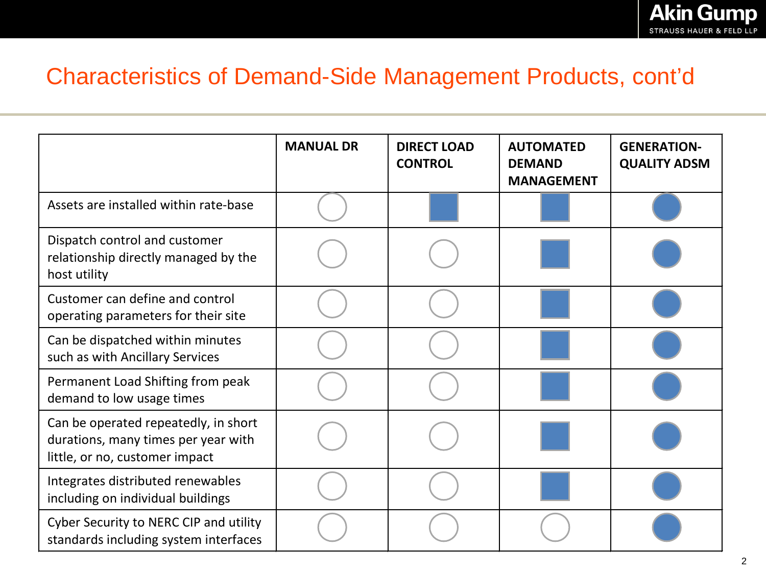## Characteristics of Demand-Side Management Products, cont'd

|                                                                                                               | <b>MANUAL DR</b> | <b>DIRECT LOAD</b><br><b>CONTROL</b> | <b>AUTOMATED</b><br><b>DEMAND</b><br><b>MANAGEMENT</b> | <b>GENERATION-</b><br><b>QUALITY ADSM</b> |
|---------------------------------------------------------------------------------------------------------------|------------------|--------------------------------------|--------------------------------------------------------|-------------------------------------------|
| Assets are installed within rate-base                                                                         |                  |                                      |                                                        |                                           |
| Dispatch control and customer<br>relationship directly managed by the<br>host utility                         |                  |                                      |                                                        |                                           |
| Customer can define and control<br>operating parameters for their site                                        |                  |                                      |                                                        |                                           |
| Can be dispatched within minutes<br>such as with Ancillary Services                                           |                  |                                      |                                                        |                                           |
| Permanent Load Shifting from peak<br>demand to low usage times                                                |                  |                                      |                                                        |                                           |
| Can be operated repeatedly, in short<br>durations, many times per year with<br>little, or no, customer impact |                  |                                      |                                                        |                                           |
| Integrates distributed renewables<br>including on individual buildings                                        |                  |                                      |                                                        |                                           |
| Cyber Security to NERC CIP and utility<br>standards including system interfaces                               |                  |                                      |                                                        |                                           |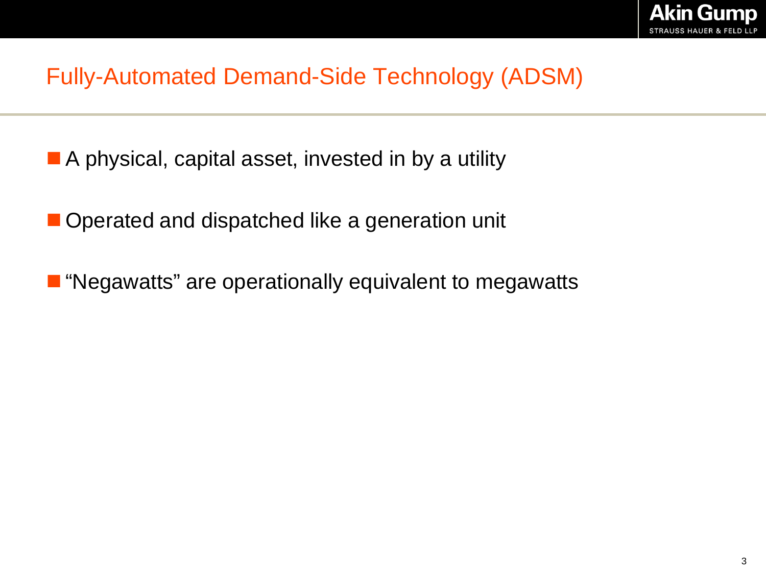# Fully-Automated Demand-Side Technology (ADSM)

- A physical, capital asset, invested in by a utility
- Operated and dispatched like a generation unit
- **T** "Negawatts" are operationally equivalent to megawatts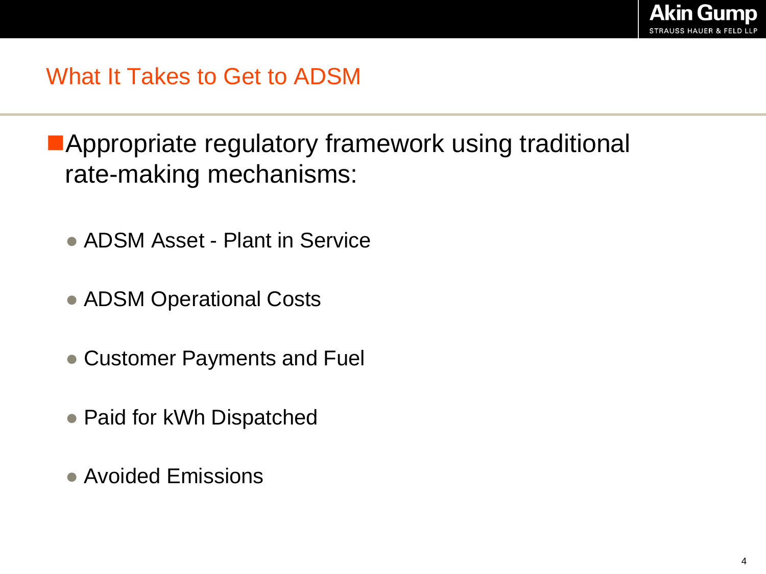**Appropriate regulatory framework using traditional** rate-making mechanisms:

- ADSM Asset Plant in Service
- ADSM Operational Costs
- Customer Payments and Fuel
- Paid for kWh Dispatched
- Avoided Emissions